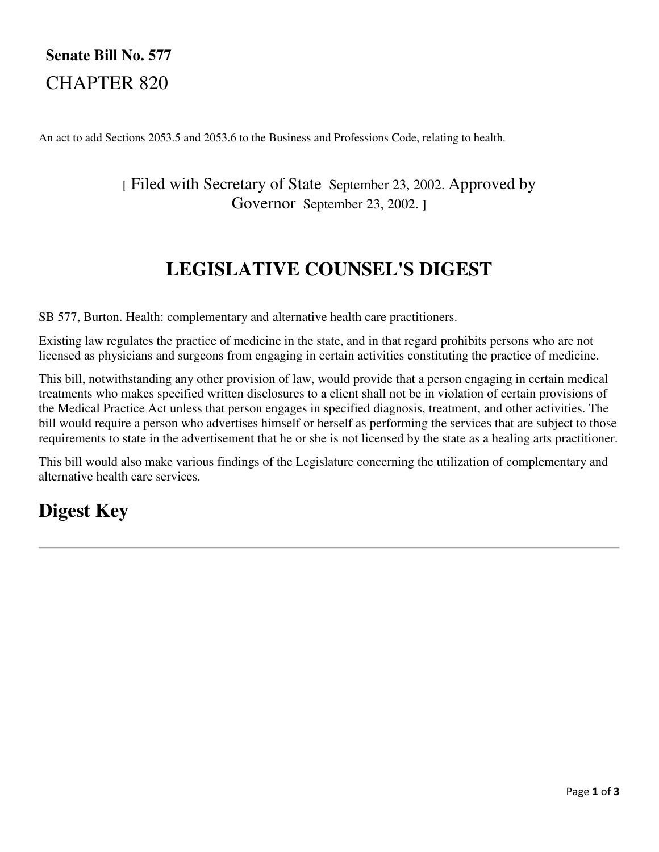# **Senate Bill No. 577** CHAPTER 820

An act to add Sections 2053.5 and 2053.6 to the Business and Professions Code, relating to health.

### [ Filed with Secretary of State September 23, 2002. Approved by Governor September 23, 2002. ]

# **LEGISLATIVE COUNSEL'S DIGEST**

SB 577, Burton. Health: complementary and alternative health care practitioners.

Existing law regulates the practice of medicine in the state, and in that regard prohibits persons who are not licensed as physicians and surgeons from engaging in certain activities constituting the practice of medicine.

This bill, notwithstanding any other provision of law, would provide that a person engaging in certain medical treatments who makes specified written disclosures to a client shall not be in violation of certain provisions of the Medical Practice Act unless that person engages in specified diagnosis, treatment, and other activities. The bill would require a person who advertises himself or herself as performing the services that are subject to those requirements to state in the advertisement that he or she is not licensed by the state as a healing arts practitioner.

This bill would also make various findings of the Legislature concerning the utilization of complementary and alternative health care services.

# **Digest Key**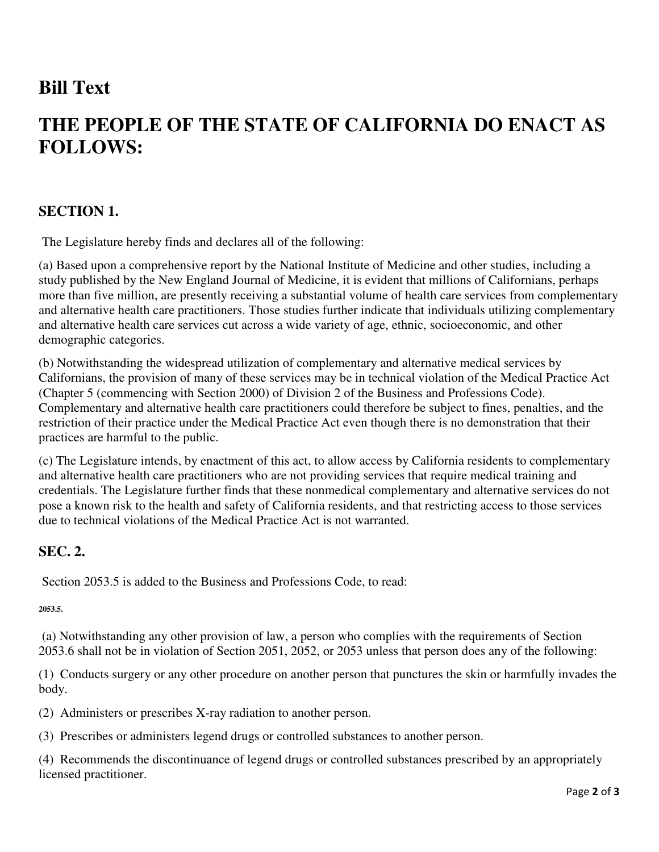## **Bill Text**

# **THE PEOPLE OF THE STATE OF CALIFORNIA DO ENACT AS FOLLOWS:**

### **SECTION 1.**

The Legislature hereby finds and declares all of the following:

(a) Based upon a comprehensive report by the National Institute of Medicine and other studies, including a study published by the New England Journal of Medicine, it is evident that millions of Californians, perhaps more than five million, are presently receiving a substantial volume of health care services from complementary and alternative health care practitioners. Those studies further indicate that individuals utilizing complementary and alternative health care services cut across a wide variety of age, ethnic, socioeconomic, and other demographic categories.

(b) Notwithstanding the widespread utilization of complementary and alternative medical services by Californians, the provision of many of these services may be in technical violation of the Medical Practice Act (Chapter 5 (commencing with Section 2000) of Division 2 of the Business and Professions Code). Complementary and alternative health care practitioners could therefore be subject to fines, penalties, and the restriction of their practice under the Medical Practice Act even though there is no demonstration that their practices are harmful to the public.

(c) The Legislature intends, by enactment of this act, to allow access by California residents to complementary and alternative health care practitioners who are not providing services that require medical training and credentials. The Legislature further finds that these nonmedical complementary and alternative services do not pose a known risk to the health and safety of California residents, and that restricting access to those services due to technical violations of the Medical Practice Act is not warranted.

### **SEC. 2.**

Section 2053.5 is added to the Business and Professions Code, to read:

**2053.5.** 

 (a) Notwithstanding any other provision of law, a person who complies with the requirements of Section 2053.6 shall not be in violation of Section 2051, 2052, or 2053 unless that person does any of the following:

(1) Conducts surgery or any other procedure on another person that punctures the skin or harmfully invades the body.

(2) Administers or prescribes X-ray radiation to another person.

(3) Prescribes or administers legend drugs or controlled substances to another person.

(4) Recommends the discontinuance of legend drugs or controlled substances prescribed by an appropriately licensed practitioner.